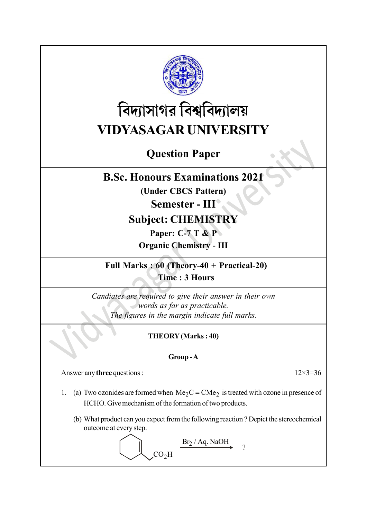

# বিদ্যাসাগর বিশ্ববিদ্যালয় VIDYASAGAR UNIVERSITY

# Question Paper

## B.Sc. Honours Examinations 2021

(Under CBCS Pattern)

Semester - III

## Subject: CHEMISTRY

Paper: C-7 T & P

Organic Chemistry - III

Full Marks : 60 (Theory-40 + Practical-20) Time : 3 Hours

Candiates are required to give their answer in their own words as far as practicable. The figures in the margin indicate full marks.

## THEORY (Marks : 40)

### Group - A

Answer any three questions : 12×3=36

1. (a) Two ozonides are formed when  $Me<sub>2</sub>C = CMe<sub>2</sub>$  is treated with ozone in presence of HCHO. Give mechanism of the formation of two products.

(b) What product can you expect from the following reaction ? Depict the stereochemical outcome at every step.

 $CO<sub>2</sub>H$  $Br_2/Aq. NaOH$   $\qquad \qquad$ ?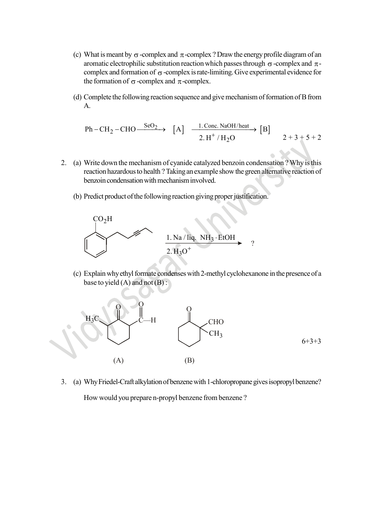- (c) What is meant by  $\sigma$ -complex and  $\pi$ -complex ? Draw the energy profile diagram of an aromatic electrophilic substitution reaction which passes through  $\sigma$ -complex and  $\pi$ complex and formation of  $\sigma$ -complex is rate-limiting. Give experimental evidence for the formation of  $\sigma$ -complex and  $\pi$ -complex. complex and π-complex ? Draw the energy profile diagram of an<br>substitution reaction which passes through σ-complex and π-<br>on of σ-complex is rate-limiting. Give experimental evidence for<br>omplex and π-complex.<br>g reaction
- (d) Complete the following reaction sequence and give mechanism of formation of B from A.

Ph-CH<sub>2</sub>-CHO 
$$
\xrightarrow{\text{SeO}_2}
$$
 [A]  $\xrightarrow{\text{1. Conc. NaOH/heat}}$  [B]  
2. H<sup>+</sup>/H<sub>2</sub>O 2+3+5+2

- 2. (a) Write down the mechanism of cyanide catalyzed benzoin condensation ? Why is this reaction hazardous to health ? Taking an example show the green alternative reaction of benzoin condensation with mechanism involved.
	- (b) Predict product of the following reaction giving proper justification.



(c) Explain why ethyl formate condenses with 2-methyl cyclohexanone in the presence of a base to yield  $(A)$  and not  $(B)$ :



3. (a) Why Friedel-Craft alkylation of benzene with 1-chloropropane gives isopropyl benzene? How would you prepare n-propyl benzene from benzene ?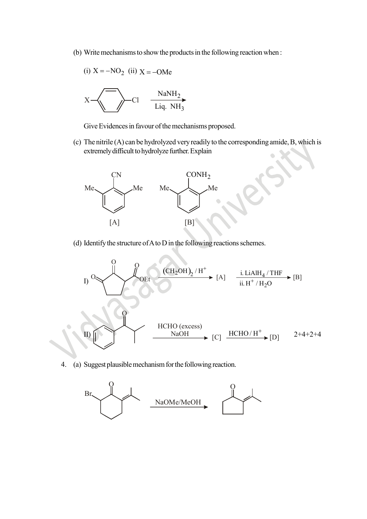(b) Write mechanisms to show the products in the following reaction when :

(i) 
$$
X = -NO_2
$$
 (ii)  $X = -OMe$   

$$
X \longrightarrow Cl \longrightarrow NaNH_2
$$
  
Liq. NH<sub>3</sub>

Give Evidences in favour of the mechanisms proposed.

(c) The nitrile (A) can be hydrolyzed very readily to the corresponding amide, B, which is extremely difficult to hydrolyze further. Explain



(d) Identify the structure of A to D in the following reactions schemes.



4. (a) Suggest plausible mechanism for the following reaction.

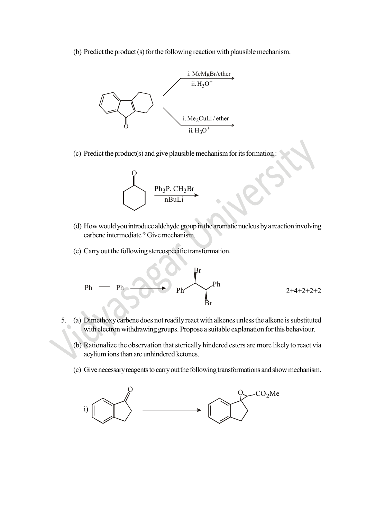(b) Predict the product (s) for the following reaction with plausible mechanism.



(c) Predict the product(s) and give plausible mechanism for its formation :



- (d) How would you introduce aldehyde group in the aromatic nucleus by a reaction involving carbene intermediate ? Give mechanism.
- (e) Carry out the following stereospecific transformation.

 $\sum_{i=1}^n$ 

$$
Ph \equiv Ph \longrightarrow ph \longrightarrow ph
$$
 
$$
Ph \longrightarrow ph \longrightarrow 2+4+2+2+2
$$

- 5. (a) Dimethoxy carbene does not readily react with alkenes unless the alkene is substituted with electron withdrawing groups. Propose a suitable explanation for this behaviour.
	- (b) Rationalize the observation that sterically hindered esters are more likely to react via acylium ions than are unhindered ketones.
	- (c) Give necessary reagents to carry out the following transformations and show mechanism.

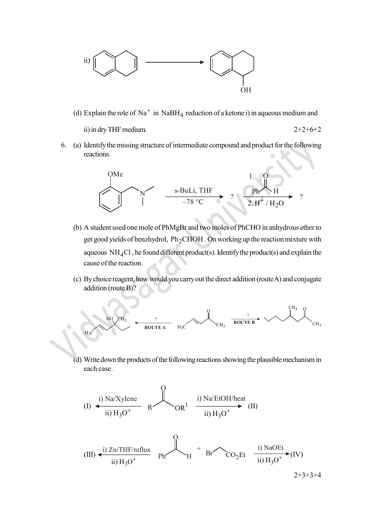

(d) Explain the role of Na<sup>+</sup> in NaBH<sub>4</sub> reduction of a ketone i) in aqueous medium and

ii) in dry THF medium.  $2+2+6+2$ 

- 
- 6. (a) Identify the missing structure of intermediate compound and product for the following reactions.



- (b) A student used one mole of PhMgBr and two moles of PhCHO in anhydrous ether to get good yields of benzhydrol,  $Ph_2CHOH$  . On working up the reaction mixture with aqueous  $NH<sub>4</sub>Cl$ , he found different product(s). Identify the product(s) and explain the cause of the reaction. OMe<br>  $\frac{1}{78 \text{ °C}}$ <br>
A student used one mole of PhMgBr and two moles of PhCHO in anhydro<br>
egt good yields of benzhydrol, Ph<sub>2</sub>CHOH. On working up the reaction mi<br>
aqueous NH<sub>4</sub>Cl, he found different product(s). Identify
- (c) By choice reagent, how would you carry out the direct addition (route A) and conjugate addition (route B)?



(d) Write down the products of the following reactions showing the plausible mechanism in each case.

(I) 
$$
\xrightarrow{\text{i) Na/Xylene}}
$$
  $\text{OR}^1$   $\xrightarrow{\text{i) Na/EtoH/heat}}$  (II)  
ii)  $H_3O^+$  (II)

(III) 
$$
\leftarrow
$$
   
ii)  $H_3O^+$    
ii)  $H_3O^+$    
ii)  $H_3O^+$    
iii)  $H_3O^+$  (IV)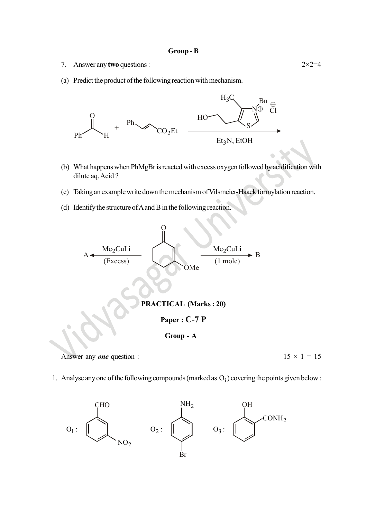#### Group - B

- 7. Answer any two questions :  $2 \times 2 = 4$
- (a) Predict the product of the following reaction with mechanism.



- (b) What happens when PhMgBr is reacted with excess oxygen followed by acidification with dilute aq. Acid ?
- (c) Taking an example write down the mechanism of Vilsmeier-Haack formylation reaction.
- (d) Identify the structure of A and B in the following reaction.



Answer any *one* question :  $15 \times 1 = 15$ 

1. Analyse any one of the following compounds (marked as  $O_i$ ) covering the points given below :